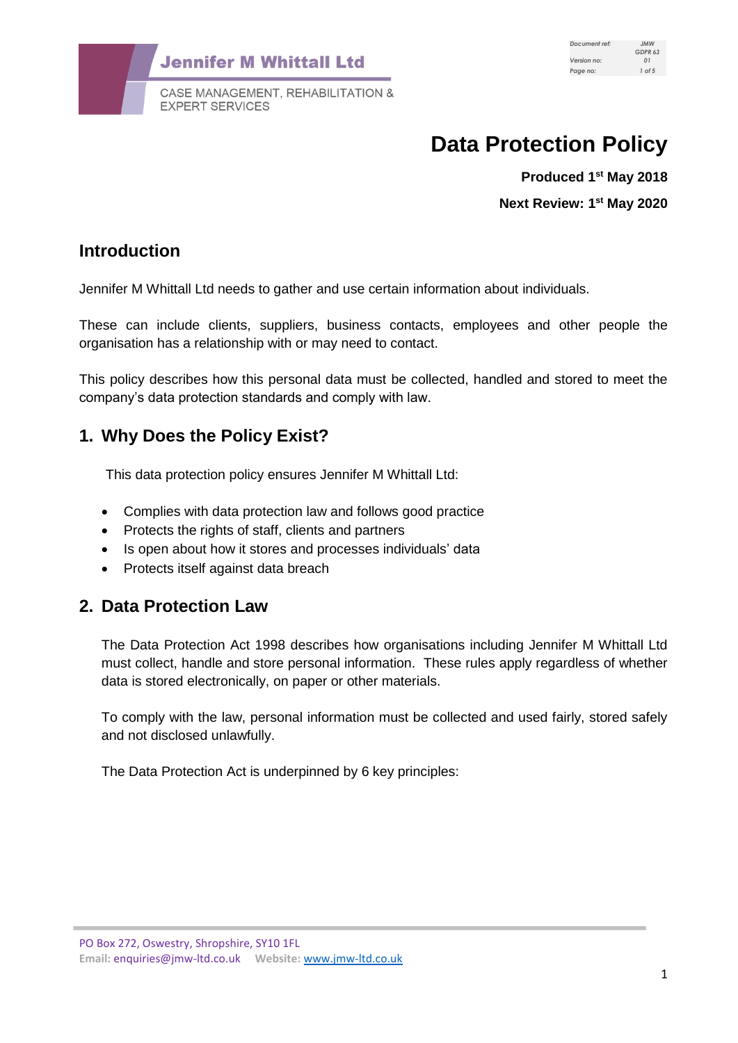

**EXPERT SERVICES** 

# **Data Protection Policy**

**Produced 1st May 2018 Next Review: 1 st May 2020**

## **Introduction**

Jennifer M Whittall Ltd needs to gather and use certain information about individuals.

These can include clients, suppliers, business contacts, employees and other people the organisation has a relationship with or may need to contact.

This policy describes how this personal data must be collected, handled and stored to meet the company's data protection standards and comply with law.

## **1. Why Does the Policy Exist?**

This data protection policy ensures Jennifer M Whittall Ltd:

- Complies with data protection law and follows good practice
- Protects the rights of staff, clients and partners
- Is open about how it stores and processes individuals' data
- Protects itself against data breach

## **2. Data Protection Law**

The Data Protection Act 1998 describes how organisations including Jennifer M Whittall Ltd must collect, handle and store personal information. These rules apply regardless of whether data is stored electronically, on paper or other materials.

To comply with the law, personal information must be collected and used fairly, stored safely and not disclosed unlawfully.

The Data Protection Act is underpinned by 6 key principles: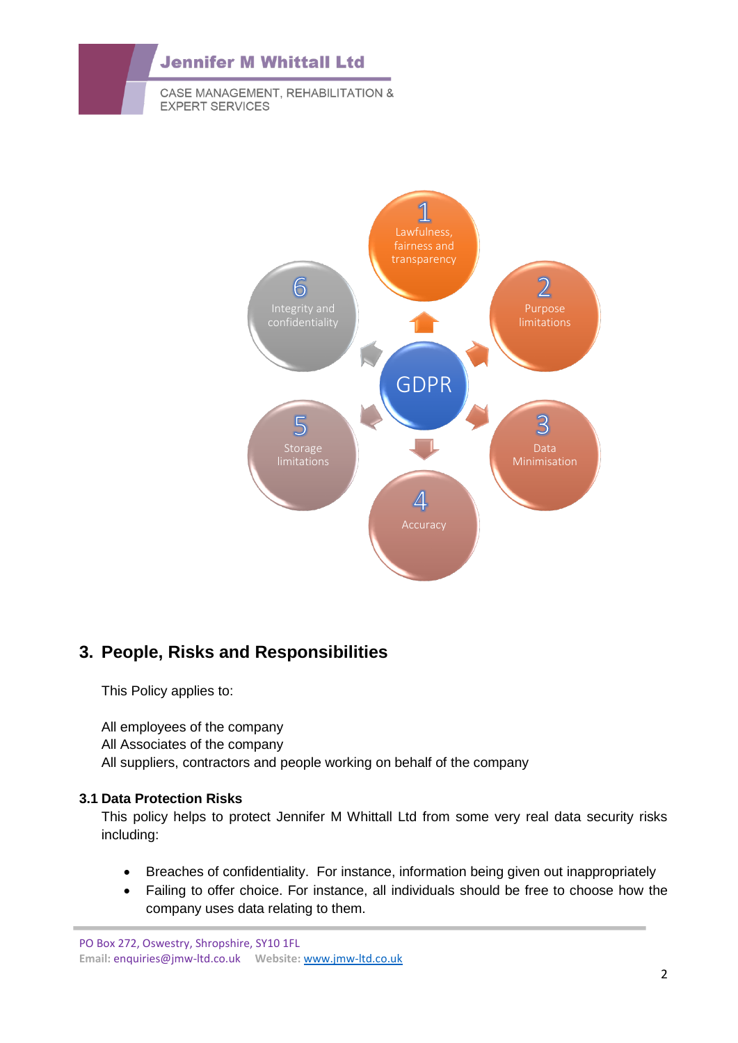



# **3. People, Risks and Responsibilities**

This Policy applies to:

All employees of the company All Associates of the company All suppliers, contractors and people working on behalf of the company

#### **3.1 Data Protection Risks**

This policy helps to protect Jennifer M Whittall Ltd from some very real data security risks including:

- Breaches of confidentiality. For instance, information being given out inappropriately
- Failing to offer choice. For instance, all individuals should be free to choose how the company uses data relating to them.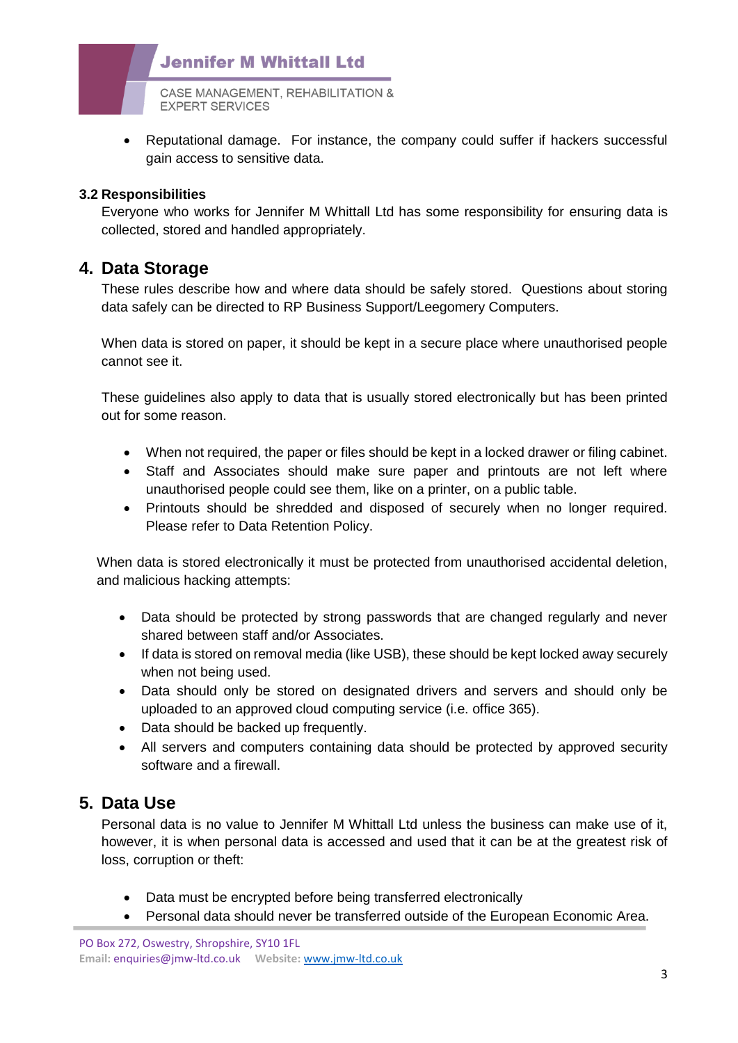

• Reputational damage. For instance, the company could suffer if hackers successful gain access to sensitive data.

#### **3.2 Responsibilities**

Everyone who works for Jennifer M Whittall Ltd has some responsibility for ensuring data is collected, stored and handled appropriately.

#### **4. Data Storage**

These rules describe how and where data should be safely stored. Questions about storing data safely can be directed to RP Business Support/Leegomery Computers.

When data is stored on paper, it should be kept in a secure place where unauthorised people cannot see it.

These guidelines also apply to data that is usually stored electronically but has been printed out for some reason.

- When not required, the paper or files should be kept in a locked drawer or filing cabinet.
- Staff and Associates should make sure paper and printouts are not left where unauthorised people could see them, like on a printer, on a public table.
- Printouts should be shredded and disposed of securely when no longer required. Please refer to Data Retention Policy.

When data is stored electronically it must be protected from unauthorised accidental deletion, and malicious hacking attempts:

- Data should be protected by strong passwords that are changed regularly and never shared between staff and/or Associates.
- If data is stored on removal media (like USB), these should be kept locked away securely when not being used.
- Data should only be stored on designated drivers and servers and should only be uploaded to an approved cloud computing service (i.e. office 365).
- Data should be backed up frequently.
- All servers and computers containing data should be protected by approved security software and a firewall.

## **5. Data Use**

Personal data is no value to Jennifer M Whittall Ltd unless the business can make use of it, however, it is when personal data is accessed and used that it can be at the greatest risk of loss, corruption or theft:

- Data must be encrypted before being transferred electronically
- Personal data should never be transferred outside of the European Economic Area.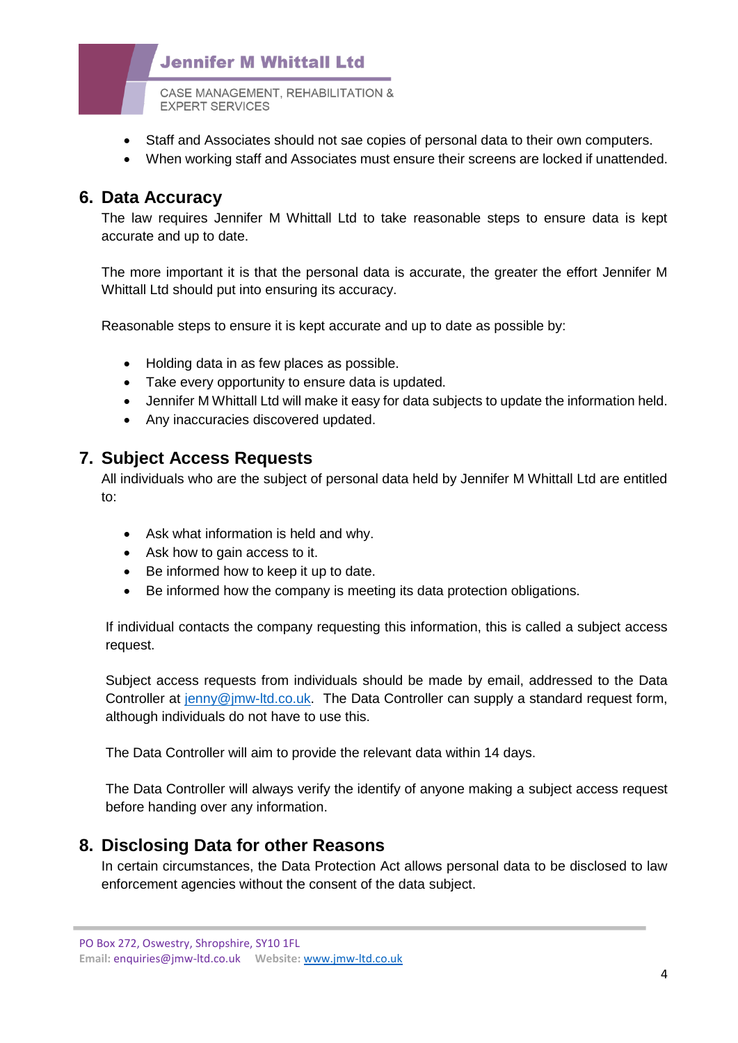## **Jennifer M Whittall Ltd**

CASE MANAGEMENT, REHABILITATION & **EXPERT SERVICES** 

- Staff and Associates should not sae copies of personal data to their own computers.
- When working staff and Associates must ensure their screens are locked if unattended.

#### **6. Data Accuracy**

The law requires Jennifer M Whittall Ltd to take reasonable steps to ensure data is kept accurate and up to date.

The more important it is that the personal data is accurate, the greater the effort Jennifer M Whittall Ltd should put into ensuring its accuracy.

Reasonable steps to ensure it is kept accurate and up to date as possible by:

- Holding data in as few places as possible.
- Take every opportunity to ensure data is updated.
- Jennifer M Whittall Ltd will make it easy for data subjects to update the information held.
- Any inaccuracies discovered updated.

#### **7. Subject Access Requests**

All individuals who are the subject of personal data held by Jennifer M Whittall Ltd are entitled to:

- Ask what information is held and why.
- Ask how to gain access to it.
- Be informed how to keep it up to date.
- Be informed how the company is meeting its data protection obligations.

If individual contacts the company requesting this information, this is called a subject access request.

Subject access requests from individuals should be made by email, addressed to the Data Controller at [jenny@jmw-ltd.co.uk.](mailto:jenny@jmw-ltd.co.uk) The Data Controller can supply a standard request form, although individuals do not have to use this.

The Data Controller will aim to provide the relevant data within 14 days.

The Data Controller will always verify the identify of anyone making a subject access request before handing over any information.

## **8. Disclosing Data for other Reasons**

In certain circumstances, the Data Protection Act allows personal data to be disclosed to law enforcement agencies without the consent of the data subject.